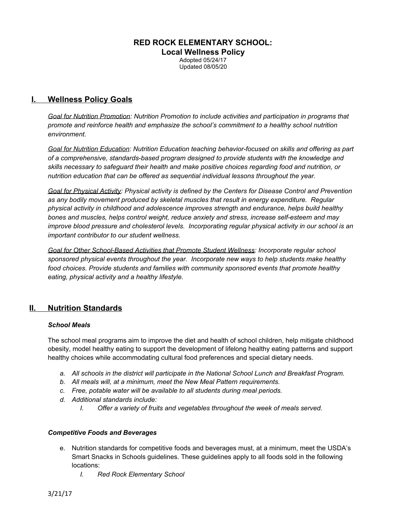# **RED ROCK ELEMENTARY SCHOOL: Local Wellness Policy** Adopted 05/24/17 Updated 08/05/20

# **I. Wellness Policy Goals**

*Goal for Nutrition Promotion: Nutrition Promotion to include activities and participation in programs that promote and reinforce health and emphasize the school's commitment to a healthy school nutrition environment.*

*Goal for Nutrition Education: Nutrition Education teaching behavior-focused on skills and offering as part of a comprehensive, standards-based program designed to provide students with the knowledge and skills necessary to safeguard their health and make positive choices regarding food and nutrition, or nutrition education that can be offered as sequential individual lessons throughout the year.*

*Goal for Physical Activity: Physical activity is defined by the Centers for Disease Control and Prevention as any bodily movement produced by skeletal muscles that result in energy expenditure. Regular physical activity in childhood and adolescence improves strength and endurance, helps build healthy bones and muscles, helps control weight, reduce anxiety and stress, increase self-esteem and may improve blood pressure and cholesterol levels. Incorporating regular physical activity in our school is an important contributor to our student wellness.*

*Goal for Other School-Based Activities that Promote Student Wellness: Incorporate regular school sponsored physical events throughout the year. Incorporate new ways to help students make healthy food choices. Provide students and families with community sponsored events that promote healthy eating, physical activity and a healthy lifestyle.*

# **II. Nutrition Standards**

## *School Meals*

The school meal programs aim to improve the diet and health of school children, help mitigate childhood obesity, model healthy eating to support the development of lifelong healthy eating patterns and support healthy choices while accommodating cultural food preferences and special dietary needs.

- *a. All schools in the district will participate in the National School Lunch and Breakfast Program.*
- *b. All meals will, at a minimum, meet the New Meal Pattern requirements.*
- *c. Free, potable water will be available to all students during meal periods.*
- *d. Additional standards include:*
	- *I. Offer a variety of fruits and vegetables throughout the week of meals served.*

## *Competitive Foods and Beverages*

- e. Nutrition standards for competitive foods and beverages must, at a minimum, meet the USDA's Smart Snacks in Schools guidelines. These guidelines apply to all foods sold in the following locations:
	- *I. Red Rock Elementary School*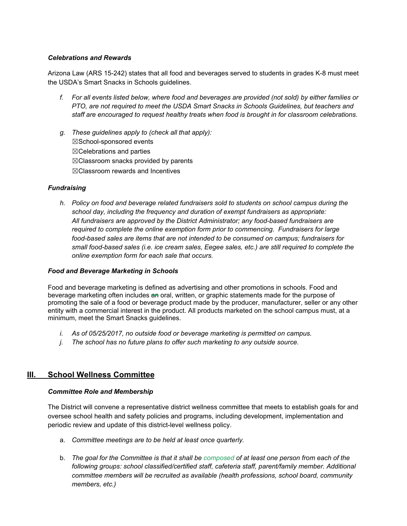## *Celebrations and Rewards*

Arizona Law (ARS 15-242) states that all food and beverages served to students in grades K-8 must meet the USDA's Smart Snacks in Schools guidelines.

- f. For all events listed below, where food and beverages are provided (not sold) by either families or *PTO, are not required to meet the USDA Smart Snacks in Schools Guidelines, but teachers and staff are encouraged to request healthy treats when food is brought in for classroom celebrations.*
- *g. These guidelines apply to (check all that apply):* ☒School-sponsored events ☒Celebrations and parties ☒Classroom snacks provided by parents ☒Classroom rewards and Incentives

## *Fundraising*

*h. Policy on food and beverage related fundraisers sold to students on school campus during the school day, including the frequency and duration of exempt fundraisers as appropriate: All fundraisers are approved by the District Administrator; any food-based fundraisers are required to complete the online exemption form prior to commencing. Fundraisers for large food-based sales are items that are not intended to be consumed on campus; fundraisers for small food-based sales (i.e. ice cream sales, Eegee sales, etc.) are still required to complete the online exemption form for each sale that occurs.*

#### *Food and Beverage Marketing in Schools*

Food and beverage marketing is defined as advertising and other promotions in schools. Food and beverage marketing often includes an oral, written, or graphic statements made for the purpose of promoting the sale of a food or beverage product made by the producer, manufacturer, seller or any other entity with a commercial interest in the product. All products marketed on the school campus must, at a minimum, meet the Smart Snacks guidelines.

- *i. As of 05/25/2017, no outside food or beverage marketing is permitted on campus.*
- *j. The school has no future plans to offer such marketing to any outside source.*

# **III. School Wellness Committee**

#### *Committee Role and Membership*

The District will convene a representative district wellness committee that meets to establish goals for and oversee school health and safety policies and programs, including development, implementation and periodic review and update of this district-level wellness policy.

- a. *Committee meetings are to be held at least once quarterly.*
- b. The goal for the Committee is that it shall be composed of at least one person from each of the *following groups: school classified/certified staff, cafeteria staff, parent/family member. Additional committee members will be recruited as available (health professions, school board, community members, etc.)*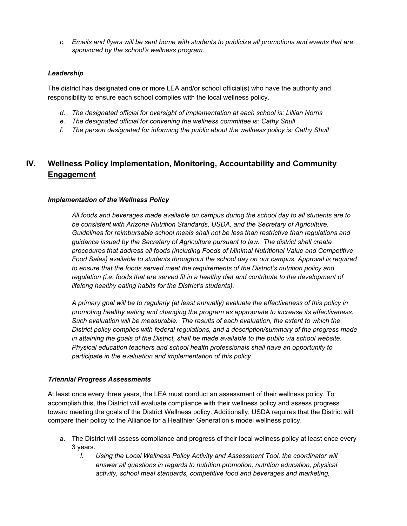c. Emails and flyers will be sent home with students to publicize all promotions and events that are *sponsored by the school's wellness program.*

## *Leadership*

The district has designated one or more LEA and/or school official(s) who have the authority and responsibility to ensure each school complies with the local wellness policy.

- *d. The designated official for oversight of implementation at each school is: Lillian Norris*
- *e. The designated official for convening the wellness committee is: Cathy Shull*
- *f. The person designated for informing the public about the wellness policy is: Cathy Shull*

# **IV. Wellness Policy Implementation, Monitoring, Accountability and Community Engagement**

## *Implementation of the Wellness Policy*

*All foods and beverages made available on campus during the school day to all students are to be consistent with Arizona Nutrition Standards, USDA, and the Secretary of Agriculture. Guidelines for reimbursable school meals shall not be less than restrictive than regulations and guidance issued by the Secretary of Agriculture pursuant to law. The district shall create procedures that address all foods (including Foods of Minimal Nutritional Value and Competitive Food Sales) available to students throughout the school day on our campus. Approval is required to ensure that the foods served meet the requirements of the District's nutrition policy and regulation (i.e. foods that are served fit in a healthy diet and contribute to the development of lifelong healthy eating habits for the District's students).*

*A primary goal will be to regularly (at least annually) evaluate the effectiveness of this policy in promoting healthy eating and changing the program as appropriate to increase its effectiveness. Such evaluation will be measurable. The results of each evaluation, the extent to which the District policy complies with federal regulations, and a description/summary of the progress made in attaining the goals of the District, shall be made available to the public via school website. Physical education teachers and school health professionals shall have an opportunity to participate in the evaluation and implementation of this policy.*

#### *Triennial Progress Assessments*

At least once every three years, the LEA must conduct an assessment of their wellness policy. To accomplish this, the District will evaluate compliance with their wellness policy and assess progress toward meeting the goals of the District Wellness policy. Additionally, USDA requires that the District will compare their policy to the Alliance for a Healthier Generation's model wellness policy.

- a. The District will assess compliance and progress of their local wellness policy at least once every 3 years.
	- *I. Using the Local Wellness Policy Activity and Assessment Tool, the coordinator will answer all questions in regards to nutrition promotion, nutrition education, physical activity, school meal standards, competitive food and beverages and marketing,*